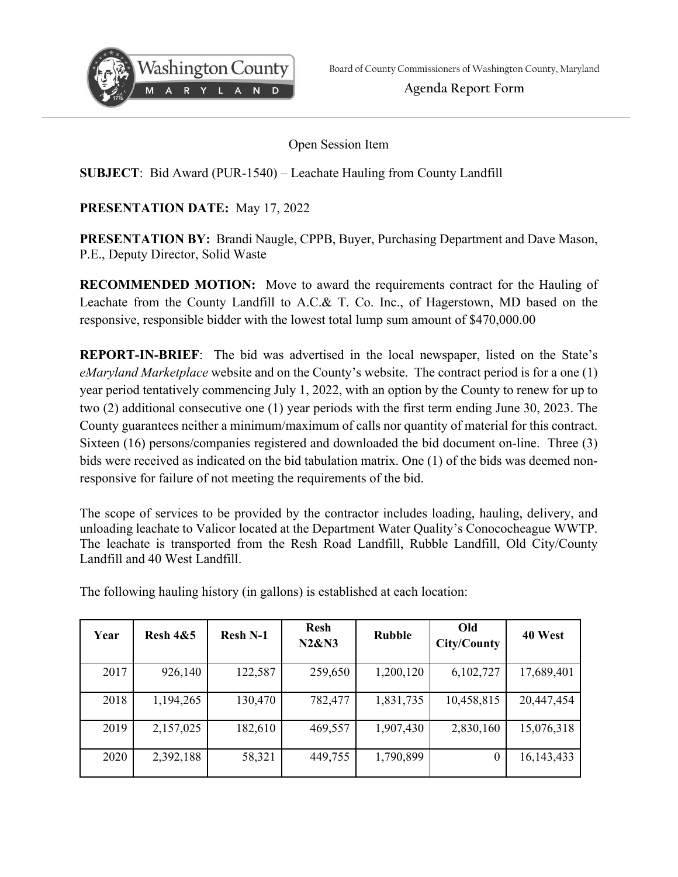

**Agenda Report Form** 

Open Session Item

## **SUBJECT**: Bid Award (PUR-1540) – Leachate Hauling from County Landfill

## **PRESENTATION DATE:** May 17, 2022

**PRESENTATION BY:** Brandi Naugle, CPPB, Buyer, Purchasing Department and Dave Mason, P.E., Deputy Director, Solid Waste

**RECOMMENDED MOTION:** Move to award the requirements contract for the Hauling of Leachate from the County Landfill to A.C.& T. Co. Inc., of Hagerstown, MD based on the responsive, responsible bidder with the lowest total lump sum amount of \$470,000.00

**REPORT-IN-BRIEF**: The bid was advertised in the local newspaper, listed on the State's *eMaryland Marketplace* website and on the County's website. The contract period is for a one (1) year period tentatively commencing July 1, 2022, with an option by the County to renew for up to two (2) additional consecutive one (1) year periods with the first term ending June 30, 2023. The County guarantees neither a minimum/maximum of calls nor quantity of material for this contract. Sixteen (16) persons/companies registered and downloaded the bid document on-line. Three (3) bids were received as indicated on the bid tabulation matrix. One (1) of the bids was deemed nonresponsive for failure of not meeting the requirements of the bid.

The scope of services to be provided by the contractor includes loading, hauling, delivery, and unloading leachate to Valicor located at the Department Water Quality's Conococheague WWTP. The leachate is transported from the Resh Road Landfill, Rubble Landfill, Old City/County Landfill and 40 West Landfill.

| Year | <b>Resh 4&amp;5</b> | <b>Resh N-1</b> | <b>Resh</b><br><b>N2&amp;N3</b> | <b>Rubble</b> | Old<br>City/County | 40 West    |
|------|---------------------|-----------------|---------------------------------|---------------|--------------------|------------|
| 2017 | 926,140             | 122,587         | 259,650                         | 1,200,120     | 6,102,727          | 17,689,401 |
| 2018 | 1,194,265           | 130,470         | 782,477                         | 1,831,735     | 10,458,815         | 20,447,454 |
| 2019 | 2,157,025           | 182,610         | 469,557                         | 1,907,430     | 2,830,160          | 15,076,318 |
| 2020 | 2,392,188           | 58,321          | 449,755                         | 1,790,899     | $\boldsymbol{0}$   | 16,143,433 |

The following hauling history (in gallons) is established at each location: